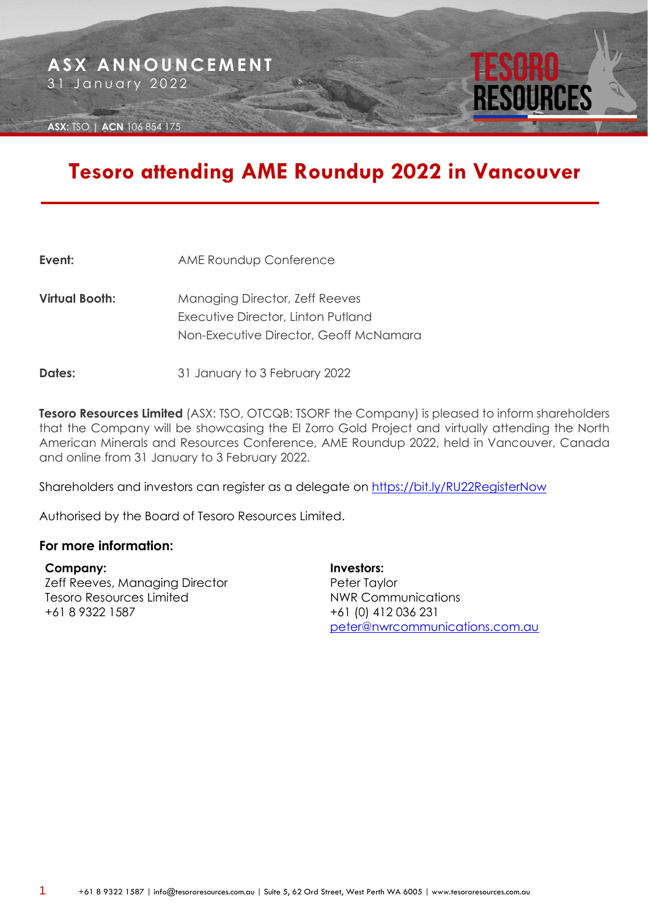**ASX:** TSO | **ACN** 106 854 175

## **Tesoro attending AME Roundup 2022 in Vancouver**

| Event:         | <b>AME Roundup Conference</b>                                                                                         |
|----------------|-----------------------------------------------------------------------------------------------------------------------|
| Virtual Booth: | <b>Managing Director, Zeff Reeves</b><br>Executive Director, Linton Putland<br>Non-Executive Director, Geoff McNamara |
|                |                                                                                                                       |

**Dates:** 31 January to 3 February 2022

**Tesoro Resources Limited** (ASX: TSO, OTCQB: TSORF the Company) is pleased to inform shareholders that the Company will be showcasing the El Zorro Gold Project and virtually attending the North American Minerals and Resources Conference, AME Roundup 2022, held in Vancouver, Canada and online from 31 January to 3 February 2022.

Shareholders and investors can register as a delegate on [https://bit.ly/RU22RegisterNow](https://can01.safelinks.protection.outlook.com/?url=https%3A%2F%2Fbit.ly%2FRU22RegisterNow&data=04%7C01%7Clwilson%40amebc.ca%7C839ac93484a745e5551a08d9e2a59296%7C67d4a6a8be414f6c9c6ca141a4fea569%7C1%7C0%7C637790023787552274%7CUnknown%7CTWFpbGZsb3d8eyJWIjoiMC4wLjAwMDAiLCJQIjoiV2luMzIiLCJBTiI6Ik1haWwiLCJXVCI6Mn0%3D%7C3000&sdata=5JVA3P51HDGG%2B%2FYRDK3Bb88uaC42JvWnfQMK3i5R19Y%3D&reserved=0)

Authorised by the Board of Tesoro Resources Limited.

## **For more information:**

**Company:** Zeff Reeves, Managing Director Tesoro Resources Limited +61 8 9322 1587

**Investors:** Peter Taylor NWR Communications +61 (0) 412 036 231 [peter@nwrcommunications.com.au](mailto:peter@nwrcommunications.com.au)

ESOURCES